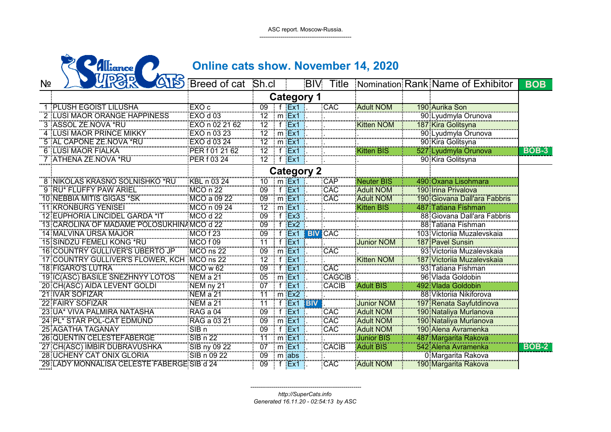ASC report. Moscow-Russia.------------------------------------------------

|                | Illiance                                   | <b>Online cats show. November 14, 2020</b>   |                                                                                                                                                                                                                                                                                                                        |  |                           |               |                   |                  |                                   |  |                                                                                                                                                 |  |              |
|----------------|--------------------------------------------|----------------------------------------------|------------------------------------------------------------------------------------------------------------------------------------------------------------------------------------------------------------------------------------------------------------------------------------------------------------------------|--|---------------------------|---------------|-------------------|------------------|-----------------------------------|--|-------------------------------------------------------------------------------------------------------------------------------------------------|--|--------------|
| N <sub>2</sub> | 있었                                         | Breed of cat Sh.cl                           |                                                                                                                                                                                                                                                                                                                        |  |                           |               | <b>BIV</b>        | Title            | Nomination Rank Name of Exhibitor |  |                                                                                                                                                 |  | <b>BOB</b>   |
|                |                                            |                                              |                                                                                                                                                                                                                                                                                                                        |  |                           |               | <b>Category 1</b> |                  |                                   |  |                                                                                                                                                 |  |              |
|                | PLUSH EGOIST LILUSHA                       | EXO c                                        | 09                                                                                                                                                                                                                                                                                                                     |  |                           | f $Ex1$       |                   | CAC              | <b>Adult NOM</b>                  |  | 190 Aurika Son                                                                                                                                  |  |              |
|                | 2   LUSI MAOR ORANGE HAPPINESS             | EXO d 03                                     | 12                                                                                                                                                                                                                                                                                                                     |  | $\ldots$ m $Ex1$          |               |                   |                  |                                   |  |                                                                                                                                                 |  |              |
|                | 3 :ASSOL ZE.NOVA *RU                       | EXO n 02 21 62                               | $\overline{12}$                                                                                                                                                                                                                                                                                                        |  | "f" <mark>Ex1</mark>      |               |                   |                  | Kitten NOM                        |  |                                                                                                                                                 |  |              |
|                | <b>ILUSI MAOR PRINCE MIKKY</b>             | EXO n 03 23                                  | 12                                                                                                                                                                                                                                                                                                                     |  | ∴m <mark>Ex</mark>        |               |                   |                  |                                   |  |                                                                                                                                                 |  |              |
|                | 5 AL CAPONE ZE NOVA *RU                    | EXO d'03 24<br>EXO d'03 24<br>PER f'01 21 62 |                                                                                                                                                                                                                                                                                                                        |  | m:Ex1<br>. <del>.</del> . |               |                   |                  |                                   |  |                                                                                                                                                 |  |              |
|                | 6 LUSI MAOR FIALKA                         |                                              | 12                                                                                                                                                                                                                                                                                                                     |  |                           |               |                   |                  | tten BIS                          |  |                                                                                                                                                 |  | <b>BOB-3</b> |
|                | 7 ATHENA ZE NOVA *RU                       | PER 103 24                                   | $\frac{15}{12}$ f $\frac{15}{5}$ f $\frac{15}{5}$ x1                                                                                                                                                                                                                                                                   |  |                           |               |                   |                  |                                   |  | 90 Kira Golitsyna                                                                                                                               |  |              |
|                |                                            |                                              |                                                                                                                                                                                                                                                                                                                        |  |                           |               | <b>Category 2</b> |                  |                                   |  |                                                                                                                                                 |  |              |
|                | 8 INIKOLAS KRASNO SOLNISHKO *RU            | KBL n 03 24                                  | 10                                                                                                                                                                                                                                                                                                                     |  | $\mathsf{m}$ Ex1          |               |                   | CÄP              | Neuter BIS                        |  | 490 Oxana Lisohmara                                                                                                                             |  |              |
|                | 9 FRU* FLUFFY PAW ARIEL                    | MCO n 22                                     | 09                                                                                                                                                                                                                                                                                                                     |  | .<br>f Ex1                |               |                   | CAC              | <b>Adult NOM</b>                  |  | 190 Irina Privalova                                                                                                                             |  |              |
|                | 10 NEBBIA MITIS GIGAS *SK                  |                                              | 09                                                                                                                                                                                                                                                                                                                     |  | m:Ex1                     |               |                   | CAC              | <b>Adult NOM</b>                  |  | 190 Giovana Dall'ara Fabbris                                                                                                                    |  |              |
|                | <b>11 KRONBURG YENISEI</b>                 | MCO n 09 24                                  | 12                                                                                                                                                                                                                                                                                                                     |  | $\cdot$ m $Ex1$           |               |                   |                  | <b>Kitten BIS</b>                 |  | 487 Tatiana Fishman                                                                                                                             |  |              |
|                | <b>12 EUPHORIA LINCIDEL GARDA *IT</b>      | MCO d 22                                     | 09                                                                                                                                                                                                                                                                                                                     |  | $f$ $Ex3$                 |               |                   |                  |                                   |  | 88: Giovana Dall'ara Fabbris                                                                                                                    |  |              |
|                | 13 CAROLINA OF MADAME POLOSUKHIN           | $AMCO$ d 22                                  | 09                                                                                                                                                                                                                                                                                                                     |  | $f$ Ex2                   |               |                   |                  |                                   |  | 88:Tatiana Fishman                                                                                                                              |  |              |
|                | 14: MALVINA URSA MAJOR                     | <b>MCO f 23</b>                              | 09                                                                                                                                                                                                                                                                                                                     |  |                           | Ex1           |                   | <b>BIV</b> CAC   |                                   |  | 103 Victoriia Muzalevskaia                                                                                                                      |  |              |
|                | 15:SINDZU FEMELI KONG *RU                  | MCO <sub>f09</sub>                           | 11                                                                                                                                                                                                                                                                                                                     |  | f $Ex1$                   |               |                   |                  | Junior NOM                        |  | <b>187: Pavel Sunsin</b>                                                                                                                        |  |              |
|                | <b>16:COUNTRY GULLIVER'S UBERTO JP</b>     | $MCO$ ns $22$                                | 09   m Ex1                                                                                                                                                                                                                                                                                                             |  |                           |               |                   | CAC              |                                   |  | 93: Victoriia Muzalevskaia                                                                                                                      |  |              |
|                | 17: COUNTRY GULLIVER'S FLOWER, KCH         | MCO ns 22                                    | $\frac{35}{12}$ f $\frac{1}{5}$ $\frac{1}{5}$ f $\frac{1}{5}$ $\frac{1}{2}$                                                                                                                                                                                                                                            |  |                           |               |                   |                  | <b>Kitten NOM</b>                 |  | 187 Victorija Muzalevskaja                                                                                                                      |  |              |
|                | <b>18 FIGARO'S LUTRA</b>                   | MCO w 62                                     | $09$ $\frac{1}{1}$ $\frac{1}{1}$ $\frac{1}{1}$ $\frac{1}{1}$ $\frac{1}{1}$ $\frac{1}{1}$ $\frac{1}{1}$ $\frac{1}{1}$ $\frac{1}{1}$ $\frac{1}{1}$ $\frac{1}{1}$ $\frac{1}{1}$ $\frac{1}{1}$ $\frac{1}{1}$ $\frac{1}{1}$ $\frac{1}{1}$ $\frac{1}{1}$ $\frac{1}{1}$ $\frac{1}{1}$ $\frac{1}{1}$ $\frac{1}{1}$ $\frac{1}{$ |  |                           |               |                   | :CAC             |                                   |  | 93: Tatiana Fishman                                                                                                                             |  |              |
|                | 19 IC(ASC) BASILE SNEZHNYY LOTOS           | NEM a 21                                     | $05$ m $Ex1$                                                                                                                                                                                                                                                                                                           |  |                           |               |                   | <b>CAGCIB</b>    |                                   |  | 96: Vlada Goldobin                                                                                                                              |  |              |
|                | 20 CH(ASC) AIDA LEVENT GOLDI               | NEM ny 21                                    | $07$ f $Ex1$                                                                                                                                                                                                                                                                                                           |  |                           |               |                   | CACIB            | <b>Adult BIS</b>                  |  | 492 Vlada Goldobin                                                                                                                              |  |              |
|                | 21 IVAR SOFIZAR                            | <br>NEM a 21                                 | 71                                                                                                                                                                                                                                                                                                                     |  | $m$ Ex2                   |               |                   |                  |                                   |  | 88: Viktorija Nikiforova                                                                                                                        |  |              |
|                | 22 FAIRY SOFIZAR                           | <br>NEM a 21                                 | 11                                                                                                                                                                                                                                                                                                                     |  |                           | $f$ Ex1       | <b>BIV</b>        |                  | <b>Junior NOM</b>                 |  | <u>197: Renata Sayfutdinova</u><br>190: Nataliya Murlanova<br>190: Nataliya Murlanova                                                           |  |              |
|                | 23 UA* VIVA PALMIRA NATASHA                | <b>RAG</b> a 04                              | 09                                                                                                                                                                                                                                                                                                                     |  | f Ex1                     |               |                   | CAC <sup>-</sup> | Adult NOM                         |  |                                                                                                                                                 |  |              |
|                | 24 PL* STAR POL-CAT EDMUND                 |                                              | 09                                                                                                                                                                                                                                                                                                                     |  | $m$ Ex1                   |               |                   | CAC <sup>-</sup> | <b>Adult NOM</b>                  |  |                                                                                                                                                 |  |              |
|                | 25 AGATHA TAGANAY                          | SIB <sub>n</sub>                             | 09                                                                                                                                                                                                                                                                                                                     |  |                           | :Ex1          |                   | CAC              | <b>Adult NOM</b>                  |  |                                                                                                                                                 |  |              |
|                | <b>26 QUENTIN CELESTEFABERGE</b>           | SIB n 22                                     |                                                                                                                                                                                                                                                                                                                        |  | $m$ Ex1                   |               |                   |                  | Junior BIS                        |  |                                                                                                                                                 |  |              |
|                | 27 CH(ASC) IMBIR DUBRAVUSHKA               | SIB ny 09 22<br>SIB ny 09 22<br>SIB n 09 22  | 07                                                                                                                                                                                                                                                                                                                     |  | m:Ex1                     |               |                   | CACIB            | <b>Adult BIS</b>                  |  |                                                                                                                                                 |  | <b>BOB-2</b> |
|                | 28 UCHENY CAT ONIX GLORIA                  |                                              | 09                                                                                                                                                                                                                                                                                                                     |  | <br>m: <mark>abs:</mark>  |               |                   |                  |                                   |  | 1901 Nataliya Muhanova<br>1901 Alena Avramenka<br>187 Margarita Rakova<br>542 Alena Avramenka<br>1901 Margarita Rakova<br>1901 Margarita Rakova |  |              |
|                | 29:LADY MONNALISA CELESTE FABERGE SIB d 24 |                                              |                                                                                                                                                                                                                                                                                                                        |  |                           | $\cdot$ f Ex1 |                   | CAC              | : Adult NOM                       |  | 190 Margarita Rakova                                                                                                                            |  |              |

*http://SuperCats.infoGenerated 16.11.20 - 02:54:13 by ASC*

*---------------------------------------------------------*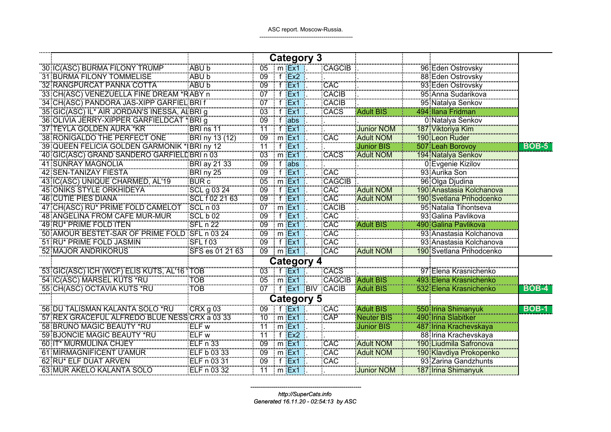|                                              |                                                                                                              |                  |                                    | Category 3<br>05 Im Ext<br>09 If Ex2 |                               |                                 |                                                                                                                                                                                                                                                      |              |
|----------------------------------------------|--------------------------------------------------------------------------------------------------------------|------------------|------------------------------------|--------------------------------------|-------------------------------|---------------------------------|------------------------------------------------------------------------------------------------------------------------------------------------------------------------------------------------------------------------------------------------------|--------------|
| 30 IC(ASC) BURMA FILONY TRUMP                | ABU b                                                                                                        |                  |                                    |                                      | <b>CAGCIB</b>                 |                                 | 196 Eden Ostrovsky<br>196 Eden Ostrovsky<br>197 Eden Ostrovsky<br>197 Eden Ostrovsky<br>197 Anna Sudarikova<br>197 Natalya Senkov<br>197 Wiktorya Kim<br>197 Wiktorya Kim<br>197 Wiktorya Kim<br>190 Leon Ruder<br>197 Natalya Senkov<br>194 Natalya |              |
| 31 BURMA FILONY TOMMELISE                    | ABU b<br>                                                                                                    |                  |                                    |                                      |                               |                                 |                                                                                                                                                                                                                                                      |              |
| 32 RANGPURCAT PANNA COTTA                    | ABU b<br>                                                                                                    | $\frac{09}{100}$ | Ex1                                |                                      |                               |                                 |                                                                                                                                                                                                                                                      |              |
| 33: CH(ASC) VENEZUELLA FINE DREAM            | 'RABY n                                                                                                      | 07               | :Ex1                               |                                      |                               |                                 |                                                                                                                                                                                                                                                      |              |
| 34:CH(ASC) PANDORA JAS-XIPP GARFIE           | L BRI f                                                                                                      |                  | . EX1                              |                                      |                               |                                 |                                                                                                                                                                                                                                                      |              |
| 35 GIC (ASC) IL FAIR JORDAN'S INESSA, ALBRIT |                                                                                                              | 03               |                                    |                                      | CAC<br>CACIB<br>CACIB<br>CACS |                                 |                                                                                                                                                                                                                                                      |              |
| 36:OLIVIA JERRY-XIPPER GARFIELDCA            | *BRI g<br>""""                                                                                               | $^{09}$          | abs:                               |                                      |                               |                                 |                                                                                                                                                                                                                                                      |              |
| .A GOLDEN AURA                               |                                                                                                              |                  | 1EX1<br>mari <mark>j</mark> a maso |                                      |                               | unior NOM                       |                                                                                                                                                                                                                                                      |              |
| 38 RONIGALDO THE PERFECT<br><b>ONE</b>       |                                                                                                              | $^{09}$          | m Ex1                              |                                      | CAC                           | <b>Adult NOM</b>                |                                                                                                                                                                                                                                                      |              |
| <b>39: QUEEN FELICIA GOLDEN GARMONIK</b>     |                                                                                                              |                  | t :Ex1                             |                                      |                               | <b>Junior BIS</b>               |                                                                                                                                                                                                                                                      | <b>BOB-5</b> |
| 40: GIC(ASC) GRAND SANDERO                   | ERI ns 11<br>ERI ny 13 (12)<br>EBRI ny 12<br>EBRI n 03<br>EBRI ay 21 33<br>EBRI ny 25<br>EUR c<br>SCI 003 24 | 03               | $m$ $Ex$                           |                                      | CACS                          | Adult NOM                       |                                                                                                                                                                                                                                                      |              |
| 41 SUNRAY MAGNOLIA                           |                                                                                                              | $\overline{09}$  | :abs                               |                                      |                               |                                 |                                                                                                                                                                                                                                                      |              |
| 42 SEN-TANIZAY FIESTA                        |                                                                                                              | 09               | 1 EX1                              |                                      | CAC<br>CAGCIB                 |                                 |                                                                                                                                                                                                                                                      |              |
| 43 IC(ASC) UNIQUE CHARMED, AL'19             |                                                                                                              | $\frac{1}{05}$ m | ∶m Ex1                             |                                      |                               |                                 |                                                                                                                                                                                                                                                      |              |
| <b>45 ONIKS STYLE ORKHIDEYA</b>              | SCL g 03 24<br>SCL f 02 21 63                                                                                | 09               | -Ex1                               |                                      | <br>CAC                       | <b>Adult NOM</b>                |                                                                                                                                                                                                                                                      |              |
| <b>46 CUTIE PIES DIANA</b>                   |                                                                                                              | 09               | EX1:                               |                                      | CAC                           | <b>Adult NOM</b>                |                                                                                                                                                                                                                                                      |              |
| 47 CH(ASC) RU* PRIME FOLD CAMELOT            | SCLn03                                                                                                       | 07               | ∴m∶Ex1                             |                                      | CACIB                         |                                 |                                                                                                                                                                                                                                                      |              |
| 48: ANGELINA FROM CAFE MUR-MUR               | SCL b 02                                                                                                     | 09               | ∶Ex1                               |                                      | CAC<br>CAC                    |                                 | Taojanastasia<br>190: Svetlana Prihodcenko<br>195: Natalia Tihontseva<br>193: Galina Pavlikova<br>490: Galina Pavlikova                                                                                                                              |              |
| 49 RU* PRIME FOLD ITEN                       | SFLn22                                                                                                       | 09               | $\cdot$ m $Ex1$                    |                                      |                               | <b>Adult BIS</b>                |                                                                                                                                                                                                                                                      |              |
| 50 AMOUR BESTET-SAR OF PRIME FOLD            |                                                                                                              | 09               | : m :Ex1                           |                                      | CAC                           |                                 |                                                                                                                                                                                                                                                      |              |
| 51 RU* PRIME FOLD JASMIN                     | SFL f 03                                                                                                     | $\overline{0}9$  | ∴f Ex1                             |                                      | CAC                           |                                 |                                                                                                                                                                                                                                                      |              |
| 52 MAJOR ANDRIKORUS                          | SFS es 01 21 63                                                                                              | 09               | $m$ Ex1                            |                                      | CAC                           | <b>Adult NOM</b>                |                                                                                                                                                                                                                                                      |              |
|                                              |                                                                                                              |                  |                                    | <b>Category 4</b>                    |                               |                                 |                                                                                                                                                                                                                                                      |              |
| 53: GIC(ASC) ICH (WCF) ELIS KUTS, AL'16 'TOB |                                                                                                              | 03               | f Ex1                              |                                      | CACS                          |                                 | 97: Elena Krasnichenko                                                                                                                                                                                                                               |              |
| 54: IC(ASC) MARSEL KUTS *RU                  | TÖB                                                                                                          |                  | $05 \cdot m$ Ex1                   |                                      | <b>CAGCIB Adult BIS</b>       |                                 | 493 Elena Krasnichenko                                                                                                                                                                                                                               |              |
| 55 CH(ASC) OCTAVIA KUTS *RU                  | <b>TÖB</b>                                                                                                   |                  | 07 f Ex1 BIV                       |                                      | <b>CACIB</b>                  | <b>Adult BIS</b>                | 532 Elena Krasnichenko                                                                                                                                                                                                                               | <b>BOB-4</b> |
|                                              |                                                                                                              |                  |                                    | <b>Category 5</b>                    |                               |                                 |                                                                                                                                                                                                                                                      |              |
| 56 DU TALISMAN KALANTA SOLO *RU              | CRX g 03                                                                                                     | 09               | $f$ Ex1                            |                                      | CAC                           | Adult BIS                       | 1550 Irina Shimanyuk<br>1788 Europa Shimanyuk                                                                                                                                                                                                        | <b>BOB-1</b> |
| 57 REX GRACEFUL ALFREDO BLUE NES             | SCRX a 03 33                                                                                                 | 10               |                                    |                                      | CAP                           | <b>Neuter BIS</b><br>Junior BIS | 490 Irina Slabitker                                                                                                                                                                                                                                  |              |
| 58 BRUNO MAGIC BEAUTY *RU                    |                                                                                                              | 11               | <u>11   m  Ex1</u>                 |                                      |                               |                                 | <u>487 Irina Krachevskaya</u>                                                                                                                                                                                                                        |              |
| 59 BJONCIE MAGIC BEAUTY *RU                  | ELF w<br>ELF w<br>'='''='''''33                                                                              |                  | 11 f Ex2                           |                                      |                               |                                 | 88: Irina Krachevskaya                                                                                                                                                                                                                               |              |
| 60: IT* MURMULINA CHJEY                      | ELF n 33                                                                                                     |                  | 09 m Ex1                           |                                      | CAC                           | <b>Adult NOM</b>                | 190 Liudmila Safronova                                                                                                                                                                                                                               |              |
| 61: MIRMAGNIFICENT U'AMUR                    |                                                                                                              | 09               |                                    |                                      | CAC                           | <b>Adult NOM</b>                | <u> 190 Klavdiya Prokopenko</u>                                                                                                                                                                                                                      |              |
| 62 RU* ELF DUAT ARVEN                        | ELF b 03 33<br>ELF n 03 31                                                                                   |                  | 09 f Ex1                           |                                      | CAC                           |                                 | 93:Zarina Gandzhunts                                                                                                                                                                                                                                 |              |
| 63 MUR AKELO KALANTA SOLO                    | ELF n 03 32                                                                                                  |                  | ∶m Ex1                             |                                      |                               | <b>Junior NOM</b>               | 187 Irina Shimanyuk                                                                                                                                                                                                                                  |              |

*--------------------------------------------------------http://SuperCats.infoGenerated 16.11.20 - 02:54:13 by ASC*